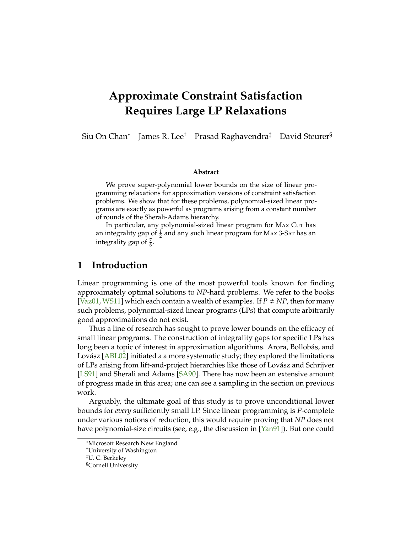# <span id="page-0-0"></span>**Approximate Constraint Satisfaction Requires Large LP Relaxations**

Siu On Chan<sup>∗</sup> James R. Lee† Prasad Raghavendra‡ David Steurer§

#### **Abstract**

We prove super-polynomial lower bounds on the size of linear programming relaxations for approximation versions of constraint satisfaction problems. We show that for these problems, polynomial-sized linear programs are exactly as powerful as programs arising from a constant number of rounds of the Sherali-Adams hierarchy.

In particular, any polynomial-sized linear program for MAX Cut has an integrality gap of  $\frac{1}{2}$  and any such linear program for MAx 3-SAT has an integrality gap of  $\frac{7}{8}$ .

### **1 Introduction**

Linear programming is one of the most powerful tools known for finding approximately optimal solutions to *NP*-hard problems. We refer to the books [\[Vaz01,](#page-20-0) [WS11\]](#page-20-1) which each contain a wealth of examples. If  $P \neq NP$ , then for many such problems, polynomial-sized linear programs (LPs) that compute arbitrarily good approximations do not exist.

Thus a line of research has sought to prove lower bounds on the efficacy of small linear programs. The construction of integrality gaps for specific LPs has long been a topic of interest in approximation algorithms. Arora, Bollobás, and Lovász [\[ABL02\]](#page-19-0) initiated a a more systematic study; they explored the limitations of LPs arising from lift-and-project hierarchies like those of Lovász and Schrijver [\[LS91\]](#page-20-2) and Sherali and Adams [\[SA90\]](#page-20-3). There has now been an extensive amount of progress made in this area; one can see a sampling in the section on previous work.

Arguably, the ultimate goal of this study is to prove unconditional lower bounds for *every* sufficiently small LP. Since linear programming is *P*-complete under various notions of reduction, this would require proving that *NP* does not have polynomial-size circuits (see, e.g., the discussion in [\[Yan91\]](#page-20-4)). But one could

<sup>∗</sup>Microsoft Research New England

<sup>†</sup>University of Washington

<sup>‡</sup>U. C. Berkeley

<sup>§</sup>Cornell University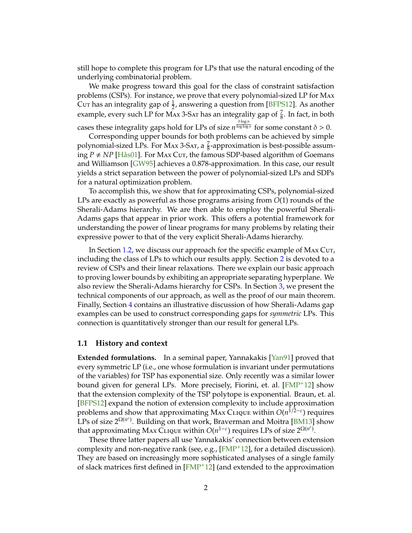<span id="page-1-0"></span>still hope to complete this program for LPs that use the natural encoding of the underlying combinatorial problem.

We make progress toward this goal for the class of constraint satisfaction problems (CSPs). For instance, we prove that every polynomial-sized LP for Max Cut has an integrality gap of  $\frac{1}{2}$ , answering a question from [\[BFPS12\]](#page-19-1). As another example, every such LP for Max 3-Sar has an integrality gap of  $\frac{7}{8}$ . In fact, in both

cases these integrality gaps hold for LPs of size  $n^{\frac{\delta \log n}{\log \log n}}$  for some constant  $\delta > 0$ .

Corresponding upper bounds for both problems can be achieved by simple polynomial-sized LPs. For Max 3-Sar, a  $\frac{7}{8}$ -approximation is best-possible assuming  $P \neq NP$  [\[Hås01\]](#page-20-5). For Max Cut, the famous SDP-based algorithm of Goemans and Williamson [\[GW95\]](#page-20-6) achieves a 0.878-approximation. In this case, our result yields a strict separation between the power of polynomial-sized LPs and SDPs for a natural optimization problem.

To accomplish this, we show that for approximating CSPs, polynomial-sized LPs are exactly as powerful as those programs arising from *O*(1) rounds of the Sherali-Adams hierarchy. We are then able to employ the powerful Sherali-Adams gaps that appear in prior work. This offers a potential framework for understanding the power of linear programs for many problems by relating their expressive power to that of the very explicit Sherali-Adams hierarchy.

In Section [1.2,](#page-2-0) we discuss our approach for the specific example of MAX Cut, including the class of LPs to which our results apply. Section [2](#page-4-0) is devoted to a review of CSPs and their linear relaxations. There we explain our basic approach to proving lower bounds by exhibiting an appropriate separating hyperplane. We also review the Sherali-Adams hierarchy for CSPs. In Section [3,](#page-9-0) we present the technical components of our approach, as well as the proof of our main theorem. Finally, Section [4](#page-14-0) contains an illustrative discussion of how Sherali-Adams gap examples can be used to construct corresponding gaps for *symmetric* LPs. This connection is quantitatively stronger than our result for general LPs.

### **1.1 History and context**

**Extended formulations.** In a seminal paper, Yannakakis [\[Yan91\]](#page-20-4) proved that every symmetric LP (i.e., one whose formulation is invariant under permutations of the variables) for TSP has exponential size. Only recently was a similar lower bound given for general LPs. More precisely, Fiorini, et. al. [\[FMP](#page-20-7)+12] show that the extension complexity of the TSP polytope is exponential. Braun, et. al. [\[BFPS12\]](#page-19-1) expand the notion of extension complexity to include approximation **problems and show that approximating MAx CLIQUE within** *O***(***n***<sup>1/2−ε</sup>) requires** LPs of size  $2^{\Omega(n^{\epsilon})}$ . Building on that work, Braverman and Moitra [\[BM13\]](#page-19-2) show that approximating Max CLIQUE within  $O(n^{1-\varepsilon})$  requires LPs of size  $2^{\Omega(n^{\varepsilon})}$ .

These three latter papers all use Yannakakis' connection between extension complexity and non-negative rank (see, e.g.,  $[FMP<sup>+</sup>12]$  $[FMP<sup>+</sup>12]$ , for a detailed discussion). They are based on increasingly more sophisticated analyses of a single family of slack matrices first defined in  $[FMP<sup>+</sup>12]$  $[FMP<sup>+</sup>12]$  (and extended to the approximation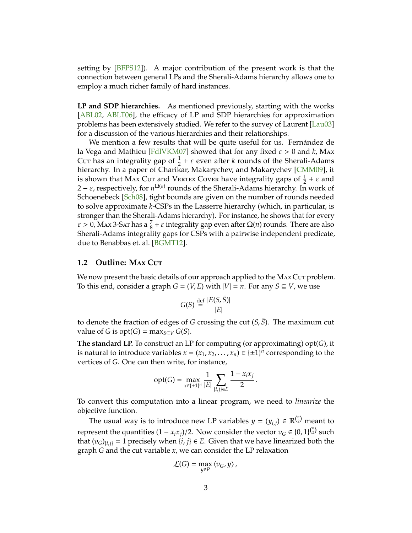<span id="page-2-1"></span>setting by [\[BFPS12\]](#page-19-1)). A major contribution of the present work is that the connection between general LPs and the Sherali-Adams hierarchy allows one to employ a much richer family of hard instances.

**LP and SDP hierarchies.** As mentioned previously, starting with the works [\[ABL02,](#page-19-0) [ABLT06\]](#page-19-3), the efficacy of LP and SDP hierarchies for approximation problems has been extensively studied. We refer to the survey of Laurent [\[Lau03\]](#page-20-8) for a discussion of the various hierarchies and their relationships.

We mention a few results that will be quite useful for us. Fernández de la Vega and Mathieu [\[FdlVKM07\]](#page-19-4) showed that for any fixed ε > 0 and *k*, Max Cut has an integrality gap of  $\frac{1}{2} + \varepsilon$  even after *k* rounds of the Sherali-Adams hierarchy. In a paper of Charikar, Makarychev, and Makarychev [\[CMM09\]](#page-19-5), it is shown that MAX Cut and VERTEX Cover have integrality gaps of  $\frac{1}{2} + \varepsilon$  and  $2 - \varepsilon$ , respectively, for  $n^{\Omega(\varepsilon)}$  rounds of the Sherali-Adams hierarchy. In work of Schoenebeck [\[Sch08\]](#page-20-9), tight bounds are given on the number of rounds needed to solve approximate *k*-CSPs in the Lasserre hierarchy (which, in particular, is stronger than the Sherali-Adams hierarchy). For instance, he shows that for every  $\varepsilon > 0$ , Max 3-Sar has a  $\frac{7}{8} + \varepsilon$  integrality gap even after  $\Omega(n)$  rounds. There are also Sherali-Adams integrality gaps for CSPs with a pairwise independent predicate, due to Benabbas et. al. [\[BGMT12\]](#page-19-6).

#### <span id="page-2-0"></span>**1.2 Outline: Max Cute**

We now present the basic details of our approach applied to the MAx Cut problem. To this end, consider a graph  $G = (V, E)$  with  $|V| = n$ . For any  $S \subseteq V$ , we use

$$
G(S) \stackrel{\text{def}}{=} \frac{|E(S,\bar{S})|}{|E|}
$$

to denote the fraction of edges of *G* crossing the cut  $(S, \overline{S})$ . The maximum cut value of *G* is opt $(G)$  = max $_{S\subset V}$  *G* $(S)$ .

**The standard LP.** To construct an LP for computing (or approximating) opt(*G*), it is natural to introduce variables  $x = (x_1, x_2, \ldots, x_n) \in \{\pm 1\}^n$  corresponding to the vertices of *G*. One can then write, for instance,

$$
opt(G) = \max_{x \in \{\pm 1\}^n} \frac{1}{|E|} \sum_{\{i,j\} \in E} \frac{1 - x_i x_j}{2}.
$$

To convert this computation into a linear program, we need to *linearize* the objective function.

The usual way is to introduce new LP variables  $y = (y_{i,j}) \in \mathbb{R}^{n \choose 2}$  meant to represent the quantities  $(1 - x_i x_j)/2$ . Now consider the vector  $v_G \in \{0, 1\}^{n \choose 2}$  such that  $(v_G)_{i,i}$  = 1 precisely when  $\{i, j\} \in E$ . Given that we have linearized both the graph *G* and the cut variable *x*, we can consider the LP relaxation

$$
\mathcal{L}(G) = \max_{y \in P} \langle v_G, y \rangle,
$$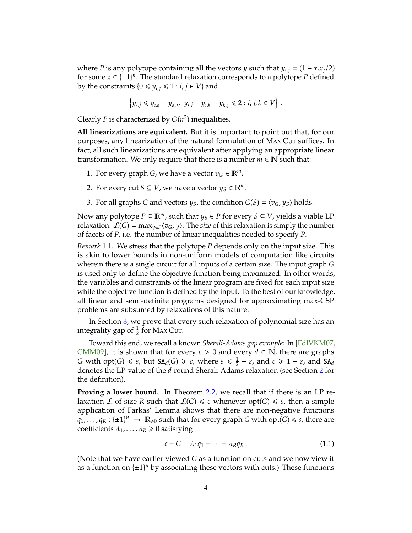<span id="page-3-1"></span>where *P* is any polytope containing all the vectors *y* such that  $y_{i,j} = (1 - x_i x_j/2)$ for some  $x \in \{\pm 1\}^n$ . The standard relaxation corresponds to a polytope *P* defined by the constraints  $\{0 \leq y_{i,j} \leq 1 : i, j \in V\}$  and

$$
\left\{y_{i,j}\leq y_{i,k}+y_{k,j},\ y_{i,j}+y_{i,k}+y_{k,j}\leq 2: i,j,k\in V\right\}\,.
$$

Clearly *P* is characterized by  $O(n^3)$  inequalities.

**All linearizations are equivalent.** But it is important to point out that, for our purposes, any linearization of the natural formulation of MAx Cut suffices. In fact, all such linearizations are equivalent after applying an appropriate linear transformation. We only require that there is a number  $m \in \mathbb{N}$  such that:

- 1. For every graph *G*, we have a vector  $v_G \in \mathbb{R}^m$ .
- 2. For every cut *S*  $\subseteq$  *V*, we have a vector *y*<sub>*S*</sub>  $\in$   $\mathbb{R}^m$ .
- 3. For all graphs *G* and vectors  $y_S$ , the condition  $G(S) = \langle v_G, y_S \rangle$  holds.

Now any polytope  $P \subseteq \mathbb{R}^m$ , such that  $y_S \in P$  for every  $S \subseteq V$ , yields a viable LP relaxation:  $\mathcal{L}(G) = \max_{y \in P} \langle v_G, y \rangle$ . The *size* of this relaxation is simply the number of facets of *P*, i.e. the number of linear inequalities needed to specify *P*.

*Remark* 1.1*.* We stress that the polytope *P* depends only on the input size. This is akin to lower bounds in non-uniform models of computation like circuits wherein there is a single circuit for all inputs of a certain size. The input graph *G* is used only to define the objective function being maximized. In other words, the variables and constraints of the linear program are fixed for each input size while the objective function is defined by the input. To the best of our knowledge, all linear and semi-definite programs designed for approximating max-CSP problems are subsumed by relaxations of this nature.

In Section [3,](#page-9-0) we prove that every such relaxation of polynomial size has an integrality gap of  $\frac{1}{2}$  for Max Cut.

Toward this end, we recall a known *Sherali-Adams gap example:* In [\[FdlVKM07,](#page-19-4) [CMM09\]](#page-19-5), it is shown that for every  $\varepsilon > 0$  and every  $d \in \mathbb{N}$ , there are graphs *G* with opt(*G*)  $\leq$  *s*, but SA<sub>*d*</sub>(*G*)  $\geq$  *c*, where *s*  $\leq \frac{1}{2}$  $\frac{1}{2} + \varepsilon$ , and  $c \ge 1 - \varepsilon$ , and  $SA_d$ denotes the LP-value of the *d*-round Sherali-Adams relaxation (see Section [2](#page-4-0) for the definition).

**Proving a lower bound.** In Theorem [2.2,](#page-6-0) we recall that if there is an LP relaxation *L* of size *R* such that  $\mathcal{L}(G) \leq c$  whenever opt(*G*)  $\leq s$ , then a simple application of Farkas' Lemma shows that there are non-negative functions  $q_1, \ldots, q_R: \{\pm 1\}^n \to \mathbb{R}_{\geq 0}$  such that for every graph *G* with opt(*G*)  $\leq$  *s*, there are coefficients  $\lambda_1, \ldots, \lambda_R \geq 0$  satisfying

<span id="page-3-0"></span>
$$
c - G = \lambda_1 q_1 + \dots + \lambda_R q_R. \tag{1.1}
$$

(Note that we have earlier viewed *G* as a function on cuts and we now view it as a function on  $\{\pm 1\}^n$  by associating these vectors with cuts.) These functions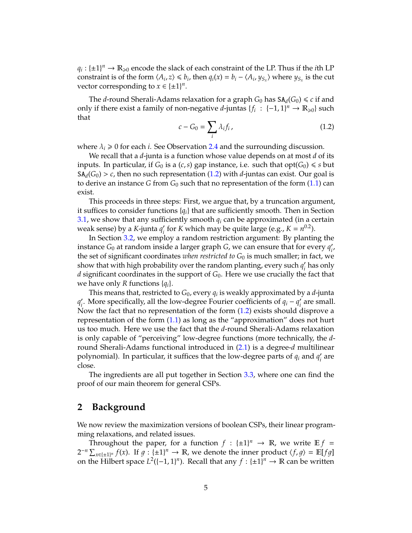$q_i: \{\pm 1\}^n \to \mathbb{R}_{\geqslant 0}$  encode the slack of each constraint of the LP. Thus if the *i*th LP constraint is of the form  $\langle A_i, z \rangle \leq b_i$ , then  $q_i(x) = b_i - \langle A_i, y_{S_x} \rangle$  where  $y_{S_x}$  is the cut vector corresponding to  $x \in {\pm 1}^n$ .

The *d*-round Sherali-Adams relaxation for a graph  $G_0$  has  $SA_d(G_0) \leq c$  if and only if there exist a family of non-negative *d*-juntas  $\{f_i : \{-1,1\}^n \to \mathbb{R}_{\geq 0}\}$  such that

<span id="page-4-1"></span>
$$
c - G_0 = \sum_i \lambda_i f_i, \qquad (1.2)
$$

where  $\lambda_i \geq 0$  for each *i*. See Observation [2.4](#page-8-0) and the surrounding discussion.

We recall that a *d*-junta is a function whose value depends on at most *d* of its inputs. In particular, if  $G_0$  is a  $(c, s)$  gap instance, i.e. such that  $opt(G_0) \leq s$  but  $SA_d(G_0) > c$ , then no such representation [\(1.2\)](#page-4-1) with *d*-juntas can exist. Our goal is to derive an instance *G* from *G*<sup>0</sup> such that no representation of the form [\(1.1\)](#page-3-0) can exist.

This proceeds in three steps: First, we argue that, by a truncation argument, it suffices to consider functions  ${q_i}$  that are sufficiently smooth. Then in Section [3.1,](#page-9-1) we show that any sufficiently smooth  $q_i$  can be approximated (in a certain weak sense) by a *K*-junta *q* 0 *i* for *K* which may be quite large (e.g.,  $K = n^{0.2}$ ).

In Section [3.2,](#page-11-0) we employ a random restriction argument: By planting the instance *G*<sup>0</sup> at random inside a larger graph *G*, we can ensure that for every *q* 0 *i* , the set of significant coordinates *when restricted to*  $G_0$  is much smaller; in fact, we show that with high probability over the random planting, every such  $q_i$ *i* has only *d* significant coordinates in the support of  $G_0$ . Here we use crucially the fact that we have only *R* functions {*qi*}.

This means that, restricted to  $G_0$ , every  $q_i$  is weakly approximated by a  $d$ -junta *q* 0 <sup>2</sup><sub>*i*</sub>. More specifically, all the low-degree Fourier coefficients of  $q_i - q'_i$ *i* are small. Now the fact that no representation of the form [\(1.2\)](#page-4-1) exists should disprove a representation of the form [\(1.1\)](#page-3-0) as long as the "approximation" does not hurt us too much. Here we use the fact that the *d*-round Sherali-Adams relaxation is only capable of "perceiving" low-degree functions (more technically, the *d*round Sherali-Adams functional introduced in [\(2.1\)](#page-8-1) is a degree-*d* multilinear polynomial). In particular, it suffices that the low-degree parts of *q<sup>i</sup>* and *q* 0 *i* are close.

The ingredients are all put together in Section [3.3,](#page-12-0) where one can find the proof of our main theorem for general CSPs.

# <span id="page-4-0"></span>**2 Background**

We now review the maximization versions of boolean CSPs, their linear programming relaxations, and related issues.

Throughout the paper, for a function  $f : \{\pm 1\}^n \to \mathbb{R}$ , we write  $\mathbb{E} f =$  $2^{-n} \sum_{x \in \{\pm 1\}^n} f(x)$ . If  $g: \{\pm 1\}^n \to \mathbb{R}$ , we denote the inner product  $\langle f, g \rangle = \mathbb{E}[fg]$ on the Hilbert space  $L^2([-1,1]^n)$ . Recall that any  $f : {\pm 1}^n \to \mathbb{R}$  can be written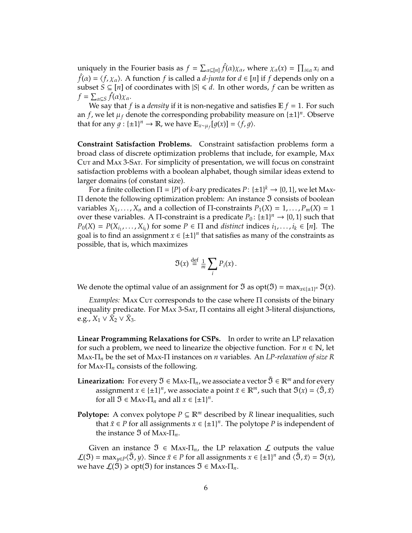uniquely in the Fourier basis as  $f = \sum_{\alpha \subseteq [n]} \hat{f}(\alpha) \chi_{\alpha}$ , where  $\chi_{\alpha}(x) = \prod_{i \in \alpha} x_i$  and  $\hat{f}(\alpha) = \langle f, \chi_{\alpha} \rangle$ . A function  $f$  is called a *d-junta* for  $d \in [n]$  if  $f$  depends only on a subset *S* ⊆ [*n*] of coordinates with  $|S|$  ≤ *d*. In other words, *f* can be written as  $f = \sum_{\alpha \subseteq S} \hat{f}(\alpha) \chi_{\alpha}.$ 

We say that *f* is a *density* if it is non-negative and satisfies  $E f = 1$ . For such an *f*, we let  $\mu_f$  denote the corresponding probability measure on  $\{\pm 1\}^n$ . Observe that for any  $g: \{\pm 1\}^n \to \mathbb{R}$ , we have  $\mathbb{E}_{x \sim \mu_f}[g(x)] = \langle f, g \rangle$ .

**Constraint Satisfaction Problems.** Constraint satisfaction problems form a broad class of discrete optimization problems that include, for example, Max Cut and Max 3-Sat. For simplicity of presentation, we will focus on constraint satisfaction problems with a boolean alphabet, though similar ideas extend to larger domains (of constant size).

For a finite collection  $\Pi = \{P\}$  of *k*-ary predicates  $P: \{\pm 1\}^k \to \{0, 1\}$ , we let Max- $\Pi$  denote the following optimization problem: An instance  $\mathfrak I$  consists of boolean variables  $X_1, \ldots, X_n$  and a collection of  $\Pi$ -constraints  $P_1(X) = 1, \ldots, P_m(X) = 1$ over these variables. A  $\Pi$ -constraint is a predicate  $P_0$ :  $\{\pm 1\}^n \rightarrow \{0, 1\}$  such that  $P_0(X) = P(X_{i_1}, \ldots, X_{i_k})$  for some  $P \in \Pi$  and *distinct* indices  $i_1, \ldots, i_k \in [n]$ . The goal is to find an assignment  $x \in \{\pm 1\}^n$  that satisfies as many of the constraints as possible, that is, which maximizes

$$
\mathfrak{I}(x) \stackrel{\text{def}}{=} \frac{1}{m} \sum_{i} P_i(x) \, .
$$

We denote the optimal value of an assignment for  $\mathfrak I$  as  $opt(\mathfrak I) = \max_{x \in \{ \pm 1 \}^n} \mathfrak I(x)$ .

*Examples:* MAx Cuτ corresponds to the case where Π consists of the binary inequality predicate. For Max 3-Sat, Π contains all eight 3-literal disjunctions, e.g.,  $X_1 \vee \overline{X}_2 \vee \overline{X}_3$ .

**Linear Programming Relaxations for CSPs.** In order to write an LP relaxation for such a problem, we need to linearize the objective function. For  $n \in \mathbb{N}$ , let Max-Π*<sup>n</sup>* be the set of Max-Π instances on *n* variables. An *LP-relaxation of size R* for  $\text{Max-}\Pi_n$  consists of the following.

- **Linearization:** For every  $\mathfrak{I} \in \mathbb{M}$  Ax- $\Pi_n$ , we associate a vector  $\mathfrak{I} \in \mathbb{R}^m$  and for every assignment  $x \in \{\pm 1\}^n$ , we associate a point  $\tilde{x} \in \mathbb{R}^m$ , such that  $\mathfrak{I}(x) = \langle \tilde{\mathfrak{I}}, \tilde{x} \rangle$ for all  $\mathfrak{I} \in \text{Max-}\Pi_n$  and all  $x \in \{\pm 1\}^n$ .
- **Polytope:** A convex polytope  $P \subseteq \mathbb{R}^m$  described by R linear inequalities, such that  $\tilde{x} \in P$  for all assignments  $x \in \{\pm 1\}^n$ . The polytope P is independent of the instance  $\Im$  of Max- $\Pi_n$ .

Given an instance  $\mathfrak{I} \in \mathbb{M}$ <sub>*n*</sub>, the LP relaxation  $\mathcal{L}$  outputs the value  $\mathcal{L}(\mathfrak{I}) = \max_{y \in P} \langle \tilde{\mathfrak{I}}, y \rangle$ . Since  $\tilde{x} \in P$  for all assignments  $x \in \{\pm 1\}^n$  and  $\langle \tilde{\mathfrak{I}}, \tilde{x} \rangle = \mathfrak{I}(x)$ , we have  $\mathcal{L}(\mathfrak{I}) \geq \text{opt}(\mathfrak{I})$  for instances  $\mathfrak{I} \in \text{Max-}\Pi_n$ .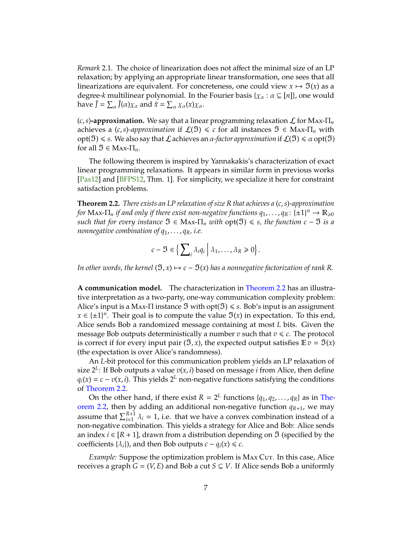<span id="page-6-1"></span>*Remark* 2.1*.* The choice of linearization does not affect the minimal size of an LP relaxation; by applying an appropriate linear transformation, one sees that all linearizations are equivalent. For concreteness, one could view  $x \mapsto \mathfrak{I}(x)$  as a degree-*k* multilinear polynomial. In the Fourier basis  $\{\chi_{\alpha} : \alpha \subseteq [n]\}$ , one would have  $\tilde{J} = \sum_{\alpha} \hat{J}(\alpha) \chi_{\alpha}$  and  $\tilde{x} = \sum_{\alpha} \chi_{\alpha}(x) \chi_{\alpha}$ .

 $(c, s)$ **-approximation.** We say that a linear programming relaxation  $\mathcal{L}$  for MAx- $\Pi_n$ achieves a  $(c, s)$ -approximation if  $\mathcal{L}(\mathfrak{I}) \leq c$  for all instances  $\mathfrak{I} \in \mathbb{M}$ ax- $\Pi_n$  with opt( $\mathfrak{I}(\mathfrak{I}) \leqslant s$ . We also say that  $\mathcal L$  achieves an  $\alpha$ -factor approximation if  $\mathcal L(\mathfrak{I}) \leqslant \alpha$  opt( $\mathfrak{I}$ ) for all  $\mathfrak{I} \in \text{Max-}\Pi_n$ .

The following theorem is inspired by Yannakakis's characterization of exact linear programming relaxations. It appears in similar form in previous works [\[Pas12\]](#page-20-10) and [\[BFPS12,](#page-19-1) Thm. 1]. For simplicity, we specialize it here for constraint satisfaction problems.

<span id="page-6-0"></span>**Theorem 2.2.** *There exists an LP relaxation of size R that achieves a* (*c*,*s*)*-approximation* for  $\text{Max-}\Pi_n$  if and only if there exist non-negative functions  $q_1,\ldots,q_R\colon\{\pm 1\}^n\to\mathbb{R}_{\geqslant 0}$ *such that for every instance*  $\mathfrak{I} \in \text{Max-}\Pi_n$  *with*  $opt(\mathfrak{I}) \leq s$ , the function  $c - \mathfrak{I}$  *is a nonnegative combination of q*1, . . . , *qR, i.e.*

$$
c-\mathfrak{I}\in\Big\{\sum\nolimits_i\lambda_i q_i\,\Big|\,\lambda_1,\ldots,\lambda_R\geq 0\Big\}.
$$

*In other words, the kernel*  $(\mathfrak{I}, x) \mapsto c - \mathfrak{I}(x)$  *has a nonnegative factorization of rank R.* 

**A communication model.** The characterization in [Theorem 2.2](#page-6-0) has an illustrative interpretation as a two-party, one-way communication complexity problem: Alice's input is a Max- $\Pi$  instance  $\mathfrak{I}$  with  $opt(\mathfrak{I}) \leq s$ . Bob's input is an assignment *x* ∈ { $\pm$ 1}<sup>*n*</sup>. Their goal is to compute the value  $\mathfrak{I}(x)$  in expectation. To this end, Alice sends Bob a randomized message containing at most *L* bits. Given the message Bob outputs deterministically a number  $v$  such that  $v \leq c$ . The protocol is correct if for every input pair  $(\mathfrak{I}, x)$ , the expected output satisfies  $\mathbb{E} v = \mathfrak{I}(x)$ (the expectation is over Alice's randomness).

An *L*-bit protocol for this communication problem yields an LP relaxation of size 2*<sup>L</sup>* : If Bob outputs a value *v*(*x*, *i*) based on message *i* from Alice, then define  $q_i(x) = c - v(x, i)$ . This yields  $2^L$  non-negative functions satisfying the conditions of [Theorem 2.2.](#page-6-0)

On the other hand, if there exist  $R = 2^L$  functions  $\{q_1, q_2, \ldots, q_R\}$  as in [The](#page-6-0)[orem 2.2,](#page-6-0) then by adding an additional non-negative function  $q_{R+1}$ , we may assume that  $\sum_{i=1}^{R+1} \lambda_i = 1$ , i.e. that we have a convex combination instead of a non-negative combination. This yields a strategy for Alice and Bob: Alice sends an index  $i \in [R + 1]$ , drawn from a distribution depending on  $\mathfrak I$  (specified by the coefficients  $\{\lambda_i\}$ , and then Bob outputs  $c - q_i(x) \leq c$ .

*Example:* Suppose the optimization problem is MAX Cut. In this case, Alice receives a graph  $G = (V, E)$  and Bob a cut  $S \subseteq V$ . If Alice sends Bob a uniformly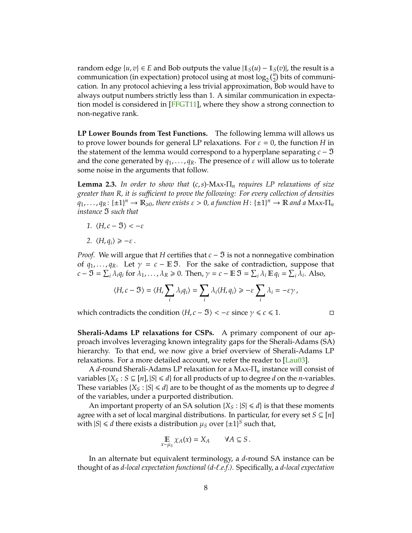<span id="page-7-1"></span>random edge  $\{u, v\} \in E$  and Bob outputs the value  $|\mathbb{1}_S(u) - \mathbb{1}_S(v)|$ , the result is a communication (in expectation) protocol using at most  $\log_2\binom{n}{2}$  bits of communication. In any protocol achieving a less trivial approximation, Bob would have to always output numbers strictly less than 1. A similar communication in expectation model is considered in [\[FFGT11\]](#page-20-11), where they show a strong connection to non-negative rank.

**LP Lower Bounds from Test Functions.** The following lemma will allows us to prove lower bounds for general LP relaxations. For  $\varepsilon = 0$ , the function *H* in the statement of the lemma would correspond to a hyperplane separating  $c - \mathfrak{I}$ and the cone generated by  $q_1, \ldots, q_R$ . The presence of  $\varepsilon$  will allow us to tolerate some noise in the arguments that follow.

<span id="page-7-0"></span>**Lemma 2.3.** *In order to show that* (*c*,*s*)*-*Max-Π*<sup>n</sup> requires LP relaxations of size greater than R, it is su*ffi*cient to prove the following: For every collection of densities*  $q_1, \ldots, q_R: \{\pm 1\}^n \to \mathbb{R}_{\geqslant 0}$ , there exists  $\varepsilon > 0$ , a function  $H: \{\pm 1\}^n \to \mathbb{R}$  and a Max- $\Pi_n$ *instance*  $\mathfrak{I}$  *such that* 

- *1.*  $\langle H, c \mathfrak{I} \rangle < -\varepsilon$
- 2.  $\langle H, q_i \rangle \ge -\varepsilon$ .

*Proof.* We will argue that *H* certifies that  $c - \mathfrak{I}$  is not a nonnegative combination of  $q_1, \ldots, q_R$ . Let  $\gamma = c - \mathbb{E} \mathfrak{I}$ . For the sake of contradiction, suppose that  $c - \mathfrak{I} = \sum_{i} \lambda_i q_i$  for  $\lambda_1, \ldots, \lambda_R \geq 0$ . Then,  $\gamma = c - \mathbb{E} \mathfrak{I} = \sum_{i} \lambda_i \mathbb{E} q_i = \sum_{i} \lambda_i$ . Also,

$$
\langle H,c-\mathfrak{I}\rangle=\langle H,\sum_i\lambda_iq_i\rangle=\sum_i\lambda_i\langle H,q_i\rangle\geq -\varepsilon\sum_i\lambda_i=-\varepsilon\gamma\,,
$$

which contradicts the condition  $\langle H, c - \mathfrak{I} \rangle < -\varepsilon$  since  $\gamma \leq c \leq 1$ .

**Sherali-Adams LP relaxations for CSPs.** A primary component of our approach involves leveraging known integrality gaps for the Sherali-Adams (SA) hierarchy. To that end, we now give a brief overview of Sherali-Adams LP relaxations. For a more detailed account, we refer the reader to [\[Lau03\]](#page-20-8).

A *d*-round Sherali-Adams LP relaxation for a Max-Π*<sup>n</sup>* instance will consist of variables {*X*<sub>*S*</sub> : *S*  $\subseteq$  [*n*],  $|S| \le d$ } for all products of up to degree *d* on the *n*-variables. These variables  $\{X_S : |S| \le d\}$  are to be thought of as the moments up to degree *d* of the variables, under a purported distribution.

An important property of an SA solution  $\{X_S : |S| \le d\}$  is that these moments agree with a set of local marginal distributions. In particular, for every set  $S \subseteq [n]$ with  $|S| \le d$  there exists a distribution  $\mu_S$  over  $\{\pm 1\}^S$  such that,

$$
\mathop{\mathbb{E}}_{x \sim \mu_S} \chi_A(x) = X_A \qquad \forall A \subseteq S.
$$

In an alternate but equivalent terminology, a *d*-round SA instance can be thought of as *d-local expectation functional (d-*`*.e.f.)*. Specifically, a *d-local expectation*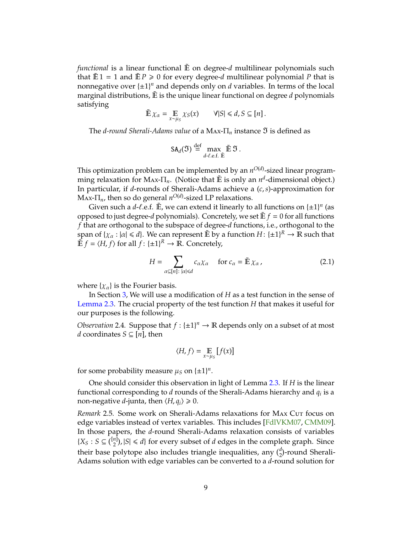<span id="page-8-2"></span>*functional* is a linear functional E on degree-*d* multilinear polynomials such that  $\mathbb{E}1 = 1$  and  $\mathbb{E}P \ge 0$  for every degree-*d* multilinear polynomial P that is nonnegative over  $\{\pm 1\}^n$  and depends only on *d* variables. In terms of the local marginal distributions,  $\mathbb E$  is the unique linear functional on degree *d* polynomials satisfying

$$
\tilde{\mathbb{E}}\,\chi_{\alpha}=\mathop{\mathbb{E}}_{x\sim\mu_{S}}\chi_{S}(x)\qquad\forall|S|\leq d,S\subseteq[n].
$$

The *d-round Sherali-Adams value* of a Max- $\Pi_n$  instance  $\mathfrak I$  is defined as

$$
SA_d(\mathfrak{I}) \stackrel{\text{def}}{=} \max_{d-\ell.\mathsf{e.f.} \tilde{\mathbb{E}}}\tilde{\mathfrak{I}}.
$$

This optimization problem can be implemented by an  $n^{O(d)}$ -sized linear programming relaxation for MAx-Π<sub>*n*</sub>. (Notice that  $\tilde{E}$  is only an *n<sup>d</sup>*-dimensional object.) In particular, if *d*-rounds of Sherali-Adams achieve a (*c*,*s*)-approximation for  $\text{Max-T}_{n}$ , then so do general  $n^{O(d)}$ -sized LP relaxations.

Given such a  $d$ - $\ell$ .e.f.  $\tilde{E}$ , we can extend it linearly to all functions on  $\{\pm 1\}^n$  (as opposed to just degree-*d* polynomials). Concretely, we set  $E f = 0$  for all functions *f* that are orthogonal to the subspace of degree-*d* functions, i.e., orthogonal to the  $\sup \sup \{ \chi_\alpha : |\alpha| \leqslant d \}.$  We can represent  $\tilde{\mathbb{E}}$  by a function  $H \colon \{\pm 1\}^R \to \mathbb{R}$  such that  $\hat{E} f = \langle H, f \rangle$  for all  $f: \{\pm 1\}^R \to \mathbb{R}$ . Concretely,

<span id="page-8-1"></span>
$$
H = \sum_{\alpha \subseteq [n]: |\alpha| \le d} c_{\alpha} \chi_{\alpha} \quad \text{for } c_{\alpha} = \tilde{\mathbb{E}} \chi_{\alpha}, \tag{2.1}
$$

where  $\{\chi_{\alpha}\}\$ is the Fourier basis.

In Section [3,](#page-9-0) We will use a modification of *H* as a test function in the sense of [Lemma 2.3.](#page-7-0) The crucial property of the test function *H* that makes it useful for our purposes is the following.

<span id="page-8-0"></span>*Observation* 2.4. Suppose that  $f : \{\pm 1\}^n \to \mathbb{R}$  depends only on a subset of at most *d* coordinates *S* ⊆ [*n*], then

$$
\langle H, f \rangle = \mathop{\mathbb{E}}_{x \sim \mu_S} \left[ f(x) \right]
$$

for some probability measure  $\mu_S$  on  $\{\pm 1\}^n$ .

One should consider this observation in light of Lemma [2.3.](#page-7-0) If *H* is the linear functional corresponding to *d* rounds of the Sherali-Adams hierarchy and *q<sup>i</sup>* is a non-negative *d*-junta, then  $\langle H, q_i \rangle \ge 0$ .

*Remark* 2.5. Some work on Sherali-Adams relaxations for MAX Cut focus on edge variables instead of vertex variables. This includes [\[FdlVKM07,](#page-19-4) [CMM09\]](#page-19-5). In those papers, the *d*-round Sherali-Adams relaxation consists of variables  ${X_S : S \subseteq \binom{[n]}{2}, |S| \le d}$  for every subset of *d* edges in the complete graph. Since their base polytope also includes triangle inequalities, any  $\binom{d}{2}$ -round Sherali-Adams solution with edge variables can be converted to a *d*-round solution for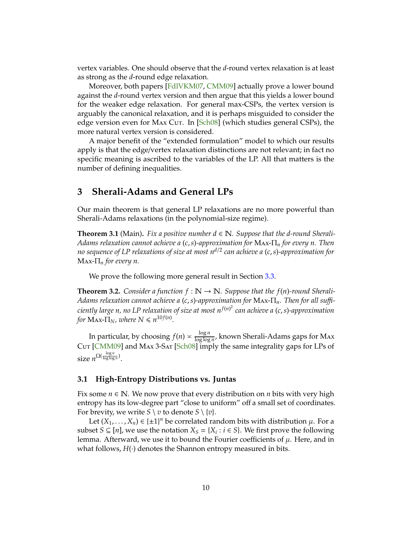<span id="page-9-4"></span>vertex variables. One should observe that the *d*-round vertex relaxation is at least as strong as the *d*-round edge relaxation.

Moreover, both papers [\[FdlVKM07,](#page-19-4) [CMM09\]](#page-19-5) actually prove a lower bound against the *d*-round vertex version and then argue that this yields a lower bound for the weaker edge relaxation. For general max-CSPs, the vertex version is arguably the canonical relaxation, and it is perhaps misguided to consider the edge version even for Max Cut. In [\[Sch08\]](#page-20-9) (which studies general CSPs), the more natural vertex version is considered.

A major benefit of the "extended formulation" model to which our results apply is that the edge/vertex relaxation distinctions are not relevant; in fact no specific meaning is ascribed to the variables of the LP. All that matters is the number of defining inequalities.

# <span id="page-9-0"></span>**3 Sherali-Adams and General LPs**

Our main theorem is that general LP relaxations are no more powerful than Sherali-Adams relaxations (in the polynomial-size regime).

<span id="page-9-2"></span>**Theorem 3.1** (Main). Fix a positive number  $d \in \mathbb{N}$ . Suppose that the d-round Sherali-*Adams relaxation cannot achieve a* (*c*,*s*)*-approximation for* Max-Π*<sup>n</sup> for every n. Then no sequence of LP relaxations of size at most n d*/2 *can achieve a* (*c*,*s*)*-approximation for*  $\text{Max-}\Pi_n$  *for every n.* 

We prove the following more general result in Section [3.3.](#page-12-0)

<span id="page-9-3"></span>**Theorem 3.2.** *Consider a function*  $f : \mathbb{N} \to \mathbb{N}$ *. Suppose that the*  $f(n)$ *-round Sherali-Adams relaxation cannot achieve a* (*c*,*s*)*-approximation for* Max-Π*n. Then for all su*ffi*ciently large n, no LP relaxation of size at most n f*(*n*) 2 *can achieve a* (*c*,*s*)*-approximation for*  $\text{Max-}\Pi_N$ *, where*  $N \leq n^{10f(n)}$ *.* 

In particular, by choosing  $f(n) \approx \frac{\log n}{\log \log n}$  $\frac{\log n}{\log \log n}$ , known Sherali-Adams gaps for Max Cut [\[CMM09\]](#page-19-5) and Max 3-Sat [\[Sch08\]](#page-20-9) imply the same integrality gaps for LPs of size  $n^{\Omega(\frac{\log n}{\log \log n})}$ .

### <span id="page-9-1"></span>**3.1 High-Entropy Distributions vs. Juntas**

Fix some  $n \in \mathbb{N}$ . We now prove that every distribution on *n* bits with very high entropy has its low-degree part "close to uniform" off a small set of coordinates. For brevity, we write  $S \setminus v$  to denote  $S \setminus \{v\}$ .

Let  $(X_1, ..., X_n) \in \{\pm 1\}^n$  be correlated random bits with distribution  $\mu$ . For a subset *S* ⊆ [*n*], we use the notation  $X_S = \{X_i : i \in S\}$ . We first prove the following lemma. Afterward, we use it to bound the Fourier coefficients of  $\mu$ . Here, and in what follows,  $H(\cdot)$  denotes the Shannon entropy measured in bits.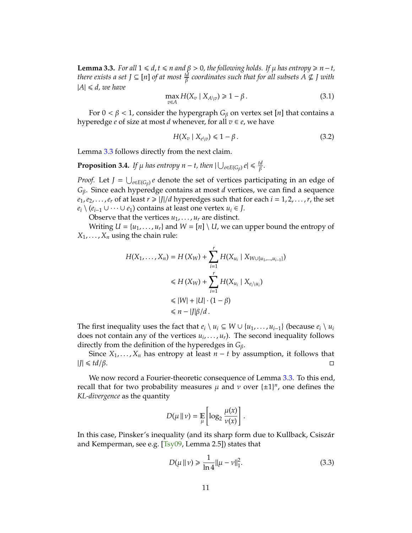<span id="page-10-3"></span><span id="page-10-0"></span>**Lemma 3.3.** *For all*  $1 ≤ d$ ,  $t ≤ n$  *and*  $β > 0$ , *the following holds. If*  $µ$  *has entropy*  $≥ n - t$ , *there exists a set*  $J \subseteq [n]$  *of at most*  $\frac{id}{\beta}$  *coordinates such that for all subsets A*  $\nsubseteq$  *J with*  $|A| \le d$ , we have

<span id="page-10-1"></span>
$$
\max_{v \in A} H(X_v \mid X_{A \setminus v}) \geq 1 - \beta. \tag{3.1}
$$

For  $0 < \beta < 1$ , consider the hypergraph  $G_\beta$  on vertex set [*n*] that contains a hyperedge  $e$  of size at most  $d$  whenever, for all  $v \in e$ , we have

$$
H(X_v \mid X_{e \setminus v}) \leq 1 - \beta. \tag{3.2}
$$

Lemma [3.3](#page-10-0) follows directly from the next claim.

**Proposition 3.4.** *If*  $\mu$  *has entropy n* − *t, then*  $|\bigcup_{e \in E(G_{\beta})} e| \leq \frac{td}{\beta}$ β *.*

*Proof.* Let  $J = \bigcup_{e \in E(G_\beta)} e$  denote the set of vertices participating in an edge of *G*β. Since each hyperedge contains at most *d* vertices, we can find a sequence  $e_1, e_2, \ldots, e_r$  of at least  $r \geq |J|/d$  hyperedges such that for each  $i = 1, 2, \ldots, r$ , the set *e*<sup>*i*</sup>  $(e_{i-1} ∪ ⋯ ∪ e_1)$  contains at least one vertex *u*<sup>*i*</sup> ∈ *J*.

Observe that the vertices  $u_1, \ldots, u_r$  are distinct.

Writing  $U = \{u_1, \ldots, u_r\}$  and  $W = [n] \setminus U$ , we can upper bound the entropy of  $X_1, \ldots, X_n$  using the chain rule:

$$
H(X_1, ..., X_n) = H(X_W) + \sum_{i=1}^r H(X_{u_i} | X_{W \cup \{u_1, ..., u_{i-1}\}})
$$
  
\n
$$
\leq H(X_W) + \sum_{i=1}^r H(X_{u_i} | X_{e_i \setminus u_i})
$$
  
\n
$$
\leq |W| + |U| \cdot (1 - \beta)
$$
  
\n
$$
\leq n - |J|\beta/d.
$$

The first inequality uses the fact that  $e_i \setminus u_i \subseteq W \cup \{u_1, \ldots, u_{i-1}\}$  (because  $e_i \setminus u_i$ does not contain any of the vertices  $u_i, \ldots, u_r$ ). The second inequality follows directly from the definition of the hyperedges in *G*β.

Since  $X_1, \ldots, X_n$  has entropy at least  $n - t$  by assumption, it follows that |*J*| 6 *td*/β.

We now record a Fourier-theoretic consequence of Lemma [3.3.](#page-10-0) To this end, recall that for two probability measures  $\mu$  and  $\nu$  over  $\{\pm 1\}^n$ , one defines the *KL-divergence* as the quantity

$$
D(\mu \parallel \nu) = \mathop{\mathbb{E}}_{\mu} \left[ \log_2 \frac{\mu(x)}{\nu(x)} \right].
$$

In this case, Pinsker's inequality (and its sharp form due to Kullback, Csiszár and Kemperman, see e.g. [\[Tsy09,](#page-20-12) Lemma 2.5]) states that

<span id="page-10-2"></span>
$$
D(\mu \| \nu) \ge \frac{1}{\ln 4} ||\mu - \nu||_1^2.
$$
 (3.3)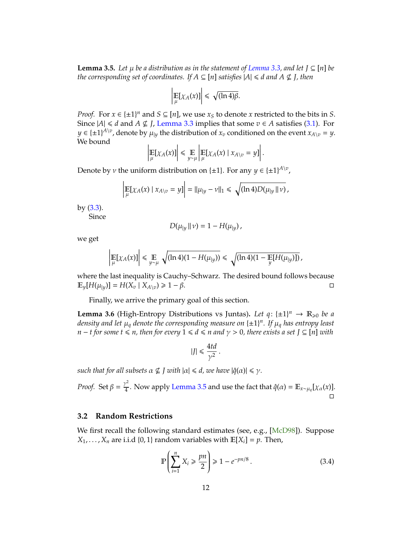<span id="page-11-4"></span><span id="page-11-1"></span>**Lemma 3.5.** *Let*  $\mu$  *be a distribution as in the statement of [Lemma 3.3,](#page-10-0) and let*  $\mathcal{I} \subseteq [n]$  *be the corresponding set of coordinates. If*  $A \subseteq [n]$  *satisfies*  $|A| \le d$  *and*  $A \nsubseteq J$ *, then* 

$$
\left|\mathop{\mathbb{E}}_{\mu}[\chi_{A}(x)]\right| \leq \sqrt{(\ln 4)\beta}.
$$

*Proof.* For  $x \in \{\pm 1\}^n$  and  $S \subseteq [n]$ , we use  $x_S$  to denote  $x$  restricted to the bits in  $S$ . Since  $|A|$  ≤ *d* and *A* ⊈ *J*, [Lemma 3.3](#page-10-0) implies that some *v* ∈ *A* satisfies [\(3.1\)](#page-10-1). For  $y \in \{\pm 1\}^{A \setminus v}$ , denote by  $\mu_{|y}$  the distribution of  $x_v$  conditioned on the event  $x_{A \setminus v} = y$ . We bound

$$
\left|\mathop{\mathbb{E}}_{\mu}[\chi_{A}(x)]\right| \leq \mathop{\mathbb{E}}_{y\sim\mu}\left|\mathop{\mathbb{E}}_{\mu}[\chi_{A}(x) \mid x_{A\setminus v}=y]\right|.
$$

Denote by *v* the uniform distribution on { $\pm 1$ }. For any  $y \in {\{\pm 1\}}^{A \setminus v}$ ,

$$
\left| \mathop{\mathbb{E}}_{\mu} [\chi_A(x) \mid x_{A \setminus v} = y] \right| = ||\mu_{|y} - \nu||_1 \leq \sqrt{(\ln 4) D(\mu_{|y} \parallel \nu)},
$$

by [\(3.3\)](#page-10-2).

Since

$$
D(\mu_{|y} \parallel \nu) = 1 - H(\mu_{|y}),
$$

we get

$$
\left|\mathop{\mathbb{E}}_{\mu}[\chi_{A}(x)]\right| \leq \mathop{\mathbb{E}}_{y \sim \mu} \sqrt{(\ln 4)(1 - H(\mu_{|y}))} \leq \sqrt{(\ln 4)(1 - \mathop{\mathbb{E}}_{y} [H(\mu_{|y})])},
$$

where the last inequality is Cauchy–Schwarz. The desired bound follows because  $\mathbb{E}_{\nu}[H(\mu_{|\nu})] = H(X_{\nu} | X_{A \setminus \nu}) \geq 1 - \beta.$ 

Finally, we arrive the primary goal of this section.

<span id="page-11-3"></span>**Lemma 3.6** (High-Entropy Distributions vs Juntas). Let  $q: \{\pm 1\}^n \to \mathbb{R}_{\geq 0}$  be a *density and let* µ*<sup>q</sup> denote the corresponding measure on* {±1} *n . If* µ*<sup>q</sup> has entropy least n* − *t* for some *t*  $\leq$  *n*, then for every 1  $\leq$  *d*  $\leq$  *n* and  $\gamma$  > 0, there exists a set J  $\subseteq$  [n] with

$$
|J| \leq \frac{4td}{\gamma^2}.
$$

*such that for all subsets*  $\alpha \nsubseteq I$  *with*  $|\alpha| \le d$ , we have  $|\hat{q}(\alpha)| \le \gamma$ .

*Proof.* Set  $\beta = \frac{\gamma^2}{4}$  $\frac{\partial^2}{\partial 4}$ . Now apply [Lemma 3.5](#page-11-1) and use the fact that  $\hat{q}(\alpha) = \mathbb{E}_{x \sim \mu_q}[ \chi_{\alpha}(x)]$ .  $\Box$ 

### <span id="page-11-0"></span>**3.2 Random Restrictions**

We first recall the following standard estimates (see, e.g., [\[McD98\]](#page-20-13)). Suppose  $X_1, \ldots, X_n$  are i.i.d {0, 1} random variables with  $\mathbb{E}[X_i] = p$ . Then,

<span id="page-11-2"></span>
$$
\mathbb{P}\left(\sum_{i=1}^{n} X_i \ge \frac{pn}{2}\right) \ge 1 - e^{-pn/8} \,. \tag{3.4}
$$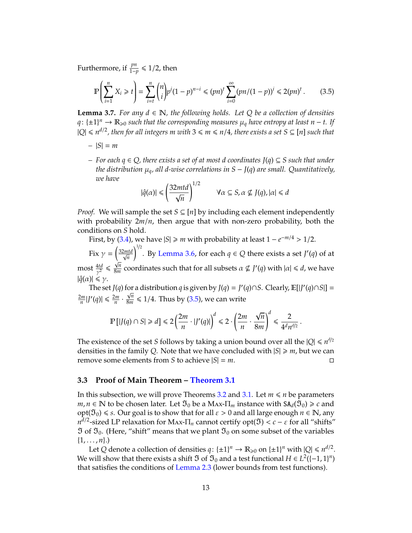Furthermore, if  $\frac{pn}{1-p} \leqslant 1/2$ , then

<span id="page-12-1"></span>
$$
\mathbb{P}\left(\sum_{i=1}^{n} X_i \ge t\right) = \sum_{i=t}^{n} {n \choose i} p^i (1-p)^{n-i} \le (pn)^t \sum_{i=0}^{\infty} (pn/(1-p))^i \le 2(pn)^t. \tag{3.5}
$$

<span id="page-12-2"></span>**Lemma 3.7.** *For any*  $d \in \mathbb{N}$ *, the following holds. Let*  $Q$  *be a collection of densities q*: {±1}<sup>*n*</sup> →  $\mathbb{R}_{\geqslant 0}$  such that the corresponding measures  $\mu_q$  have entropy at least *n* − *t*. If  $|Q| ≤ n^{d/2}$  , then for all integers  $m$  with  $3 ≤ m ≤ n/4$  , there exists a set  $S ⊆ [n]$  such that

- $|S| = m$
- *– For each q* ∈ *Q, there exists a set of at most d coordinates J*(*q*) ⊆ *S such that under the distribution*  $\mu_q$ *, all d-wise correlations in*  $S - J(q)$  *are small. Quantitatively, we have*

$$
|\hat{q}(\alpha)| \leq \left(\frac{32mtd}{\sqrt{n}}\right)^{1/2} \qquad \forall \alpha \subseteq S, \alpha \not\subseteq J(q), |\alpha| \leq d
$$

*Proof.* We will sample the set  $S \subseteq [n]$  by including each element independently with probability 2*m*/*n*, then argue that with non-zero probability, both the conditions on *S* hold.

First, by [\(3.4\)](#page-11-2), we have  $|S| \ge m$  with probability at least  $1 - e^{-m/4} > 1/2$ .

Fix  $\gamma = \left(\frac{32mtd}{\sqrt{n}}\right)$ *n*  $\int^{1/2}$ . By [Lemma 3.6,](#page-11-3) for each  $q \in Q$  there exists a set *J'*(*q*) of at most  $\frac{4td}{\gamma^2}$   $\leqslant$ √ *n*  $\frac{\sqrt{n}}{8m}$  coordinates such that for all subsets  $\alpha \nsubseteq J'(q)$  with  $|\alpha| \leq d$ , we have  $|\hat{q}(\alpha)| \leq \gamma$ .

The set *J*(*q*) for a distribution *q* is given by *J*(*q*) = *J*'(*q*)∩*S*. Clearly, E[|*J*'(*q*)∩*S*|] =  $\frac{2m}{n}|J'(q)| \leq \frac{2m}{n} \cdot \frac{\sqrt{n}}{8m}$  $\frac{\sqrt{n}}{8m} \leq 1/4$ . Thus by [\(3.5\)](#page-12-1), we can write

$$
\mathbb{P}\left[|J(q)\cap S|\ge d\right]\le 2\left(\frac{2m}{n}\cdot |J'(q)|\right)^d\le 2\cdot \left(\frac{2m}{n}\cdot \frac{\sqrt{n}}{8m}\right)^d\le \frac{2}{4^dn^{d/2}}\,.
$$

The existence of the set *S* follows by taking a union bound over all the  $|Q| \le n^{d/2}$ densities in the family *Q*. Note that we have concluded with  $|S| \ge m$ , but we can remove some elements from *S* to achieve  $|S| = m$ .

#### <span id="page-12-0"></span>**3.3 Proof of Main Theorem – [Theorem 3.1](#page-9-2)**

In this subsection, we will prove Theorems [3.2](#page-9-3) and [3.1.](#page-9-2) Let  $m \le n$  be parameters  $m,n\in\mathbb{N}$  to be chosen later. Let  $\mathfrak{I}_0$  be a Max- $\Pi_m$  instance with SA<sub>d</sub>( $\tilde{\mathfrak{I}}_0)\geqslant c$  and  $opt(\mathfrak{I}_0) \leq s$ . Our goal is to show that for all  $\varepsilon > 0$  and all large enough  $n \in \mathbb{N}$ , any  $n^{\tilde{d}/2}$ -sized LP relaxation for Max-Π<sub>*n*</sub> cannot certify opt( $\mathfrak{I}$ ) < *c* − ε for all "shifts"  $\mathfrak I$  of  $\mathfrak I_0$ . (Here, "shift" means that we plant  $\mathfrak I_0$  on some subset of the variables  $\{1, \ldots, n\}$ .)

Let *Q* denote a collection of densities  $q: \{\pm 1\}^n \to \mathbb{R}_{\geq 0}$  on  $\{\pm 1\}^n$  with  $|Q| \leq n^{d/2}$ . We will show that there exists a shift  $\mathfrak I$  of  $\mathfrak I_0$  and a test functional  $H\in L^2([-1,1]^n)$ that satisfies the conditions of [Lemma 2.3](#page-7-0) (lower bounds from test functions).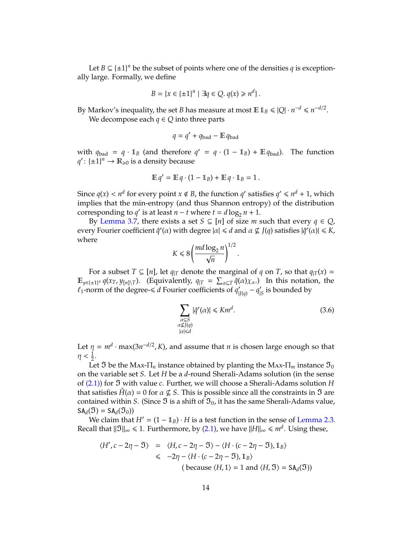Let  $B \subseteq {\pm 1}^n$  be the subset of points where one of the densities *q* is exceptionally large. Formally, we define

$$
B = \{x \in \{\pm 1\}^n \mid \exists q \in Q. \ q(x) \geq n^d\}.
$$

By Markov's inequality, the set *B* has measure at most  $\mathbb{E} 1_B \leqslant |Q| \cdot n^{-d} \leqslant n^{-d/2}.$ We decompose each  $q \in Q$  into three parts

$$
q = q' + q_{\text{bad}} - \mathbb{E} q_{\text{bad}}
$$

with  $q_{bad} = q \cdot 1_B$  (and therefore  $q' = q \cdot (1 - 1_B) + \mathbb{E} q_{bad}$ ). The function  $q'$ : { $\pm 1$ }<sup>*n*</sup>  $\rightarrow \mathbb{R}_{\geqslant 0}$  is a density because

$$
\mathbb{E} q' = \mathbb{E} q \cdot (1 - \mathbb{1}_B) + \mathbb{E} q \cdot \mathbb{1}_B = 1.
$$

Since  $q(x) < n^d$  for every point  $x \notin B$ , the function  $q'$  satisfies  $q' \leq n^d + 1$ , which implies that the min-entropy (and thus Shannon entropy) of the distribution corresponding to *q'* is at least *n* − *t* where  $t = d \log_2 n + 1$ .

By [Lemma 3.7,](#page-12-2) there exists a set  $S \subseteq [n]$  of size *m* such that every  $q \in Q$ , every Fourier coefficient  $\hat{q}'(α)$  with degree  $|α| ≤ d$  and  $α ⊈ J(q)$  satisfies  $|\hat{q}'(α)| ≤ K$ , where

$$
K \leq 8 \left( \frac{md \log_2 n}{\sqrt{n}} \right)^{1/2}.
$$

For a subset  $T \subseteq [n]$ , let  $q_{|T}$  denote the marginal of q on T, so that  $q_{|T}(x) =$  $\mathbb{E}_{y \in \{\pm 1\}^n} q(x_T, y_{[n] \setminus T})$ . (Equivalently,  $q_{|T} = \sum_{\alpha \subseteq T} \hat{q}(\alpha) \chi_\alpha$ .) In this notation, the  $\ell_1$ -norm of the degree- $\leq d$  Fourier coefficients of  $q_1$ <sup>o</sup>  $\int_{|J(q)} - q'$  $\frac{\prime}{\vert S}$  is bounded by

<span id="page-13-0"></span>
$$
\sum_{\substack{\alpha \subseteq S \\ \alpha \nsubseteq J(q) \\ |\alpha| \le d}} |\hat{q}'(\alpha)| \le Km^d. \tag{3.6}
$$

Let  $\eta = m^d \cdot \max(3n^{-d/2}, K)$ , and assume that *n* is chosen large enough so that  $\eta < \frac{1}{2}$ .

Let  $\mathfrak I$  be the Max- $\Pi_n$  instance obtained by planting the Max- $\Pi_m$  instance  $\mathfrak I_0$ on the variable set *S*. Let *H* be a *d*-round Sherali-Adams solution (in the sense of [\(2.1\)\)](#page-8-1) for = with value *c*. Further, we will choose a Sherali-Adams solution *H* that satisfies  $H(\alpha) = 0$  for  $\alpha \not\subseteq S$ . This is possible since all the constraints in  $\mathfrak I$  are contained within *S*. (Since  $\mathfrak I$  is a shift of  $\mathfrak I_0$ , it has the same Sherali-Adams value,  $SA_d(\mathfrak{I}) = SA_d(\mathfrak{I}_0)$ 

We claim that  $H' = (1 - 1_B) \cdot H$  is a test function in the sense of [Lemma 2.3.](#page-7-0) Recall that  $\|\mathfrak{I}\|_{\infty}\leqslant 1.$  Furthermore, by [\(2.1\)](#page-8-1), we have  $\|H\|_{\infty}\leqslant m^{d}.$  Using these,

$$
\langle H', c - 2\eta - \mathfrak{I} \rangle = \langle H, c - 2\eta - \mathfrak{I} \rangle - \langle H \cdot (c - 2\eta - \mathfrak{I}), \mathbb{1}_B \rangle
$$
  
\n
$$
\leq -2\eta - \langle H \cdot (c - 2\eta - \mathfrak{I}), \mathbb{1}_B \rangle
$$
  
\n
$$
(\text{because } \langle H, 1 \rangle = 1 \text{ and } \langle H, \mathfrak{I} \rangle = \text{SA}_d(\mathfrak{I}))
$$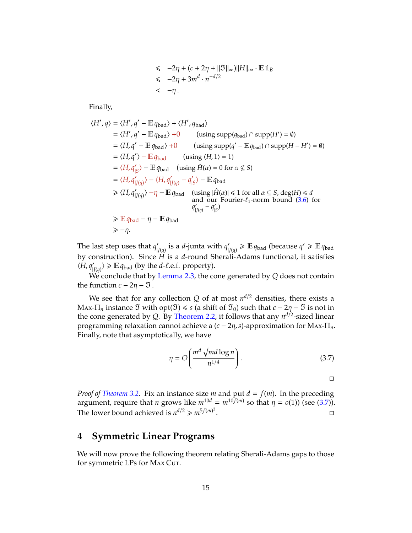$$
\leq -2\eta + (c + 2\eta + ||\mathfrak{I}||_{\infty})||H||_{\infty} \cdot \mathbb{E} \mathbb{1}_B
$$
  

$$
\leq -2\eta + 3m^d \cdot n^{-d/2}
$$
  

$$
< -\eta.
$$

Finally,

$$
\langle H', q \rangle = \langle H', q' - \mathbb{E} q_{bad} \rangle + \langle H', q_{bad} \rangle
$$
  
\n
$$
= \langle H', q' - \mathbb{E} q_{bad} \rangle + 0 \qquad \text{(using } supp(q_{bad}) \cap supp(H') = \emptyset)
$$
  
\n
$$
= \langle H, q' - \mathbb{E} q_{bad} \rangle + 0 \qquad \text{(using } supp(q' - \mathbb{E} q_{bad}) \cap supp(H - H') = \emptyset)
$$
  
\n
$$
= \langle H, q' \rangle - \mathbb{E} q_{bad} \qquad \text{(using } \langle H, 1 \rangle = 1)
$$
  
\n
$$
= \langle H, q'_{|S} \rangle - \mathbb{E} q_{bad} \qquad \text{(using } \hat{H}(\alpha) = 0 \text{ for } \alpha \not\subseteq S)
$$
  
\n
$$
= \langle H, q'_{|J(q)} \rangle - \langle H, q'_{|J(q)} - q'_{|S} \rangle - \mathbb{E} q_{bad}
$$
  
\n
$$
\geq \langle H, q'_{|J(q)} \rangle - \eta - \mathbb{E} q_{bad} \qquad \text{(using } |\hat{H}(\alpha)| \leq 1 \text{ for all } \alpha \subseteq S, \text{ deg}(H) \leq d \text{ and our Fourier- $\ell_1$ -norm bound (3.6) for  $q'_{|J(q)} - q'_{|S}$   
\n
$$
\geq \mathbb{E} q_{bad} - \eta - \mathbb{E} q_{bad}
$$
  
\n
$$
\geq -\eta.
$$
$$

The last step uses that  $q_1$ <sup>'</sup>  $\int_{|J(q)}$  is a *d*-junta with  $q'_{|}$  $\mathcal{L}_{|J(q)} \geqslant \mathbb{E} q_{bad}$  (because  $q' \geqslant \mathbb{E} q_{bad}$ by construction). Since *H* is a *d*-round Sherali-Adams functional, it satisfies  $\langle H, q'$  $\langle f_{|J(q)} \rangle \geq \mathbb{E} q_{bad}$  (by the *d*- $\ell$ .e.f. property).

We conclude that by [Lemma 2.3,](#page-7-0) the cone generated by *Q* does not contain the function  $c - 2\eta - 3$ .

We see that for any collection  $Q$  of at most  $n^{d/2}$  densities, there exists a Max- $\Pi_n$  instance  $\Im$  with opt( $\Im$ )  $\leq$  *s* (a shift of  $\Im_0$ ) such that *c* − 2η −  $\Im$  is not in the cone generated by *Q*. By [Theorem 2.2,](#page-6-0) it follows that any *n d*/2 -sized linear programming relaxation cannot achieve a (*c* − 2η,*s*)-approximation for Max-Π*n*. Finally, note that asymptotically, we have

<span id="page-14-1"></span>
$$
\eta = O\left(\frac{m^d \sqrt{md \log n}}{n^{1/4}}\right). \tag{3.7}
$$

 $\Box$ 

*Proof of [Theorem 3.2.](#page-9-3)* Fix an instance size *m* and put  $d = f(m)$ . In the preceding argument, require that *n* grows like  $m^{10d} = m^{10f(m)}$  so that  $\eta = o(1)$ ) (see [\(3.7\)](#page-14-1)). The lower bound achieved is  $n^{d/2} \geq n r^{5f(m)^2}$ .

# <span id="page-14-0"></span>**4 Symmetric Linear Programs**

We will now prove the following theorem relating Sherali-Adams gaps to those for symmetric LPs for MAx Cut.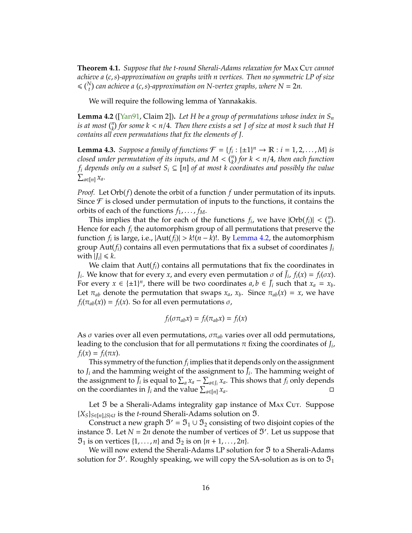<span id="page-15-3"></span><span id="page-15-1"></span>**Theorem 4.1.** *Suppose that the t-round Sherali-Adams relaxation for* MAx Cut *cannot achieve a* (*c*,*s*)*-approximation on graphs with n vertices. Then no symmetric LP of size*  $\leq$   $\binom{N}{t}$  can achieve a (c, s)-approximation on N-vertex graphs, where N = 2n.

We will require the following lemma of Yannakakis.

<span id="page-15-0"></span>**Lemma 4.2** ([\[Yan91,](#page-20-4) Claim 2]). Let H be a group of permutations whose index in  $S_n$ *is at most*  $\binom{n}{k}$  *for some*  $k < n/4$ *. Then there exists a set J of size at most*  $k$  *such that*  $H$ *contains all even permutations that fix the elements of J.*

<span id="page-15-2"></span>**Lemma 4.3.** *Suppose a family of functions*  $\mathcal{F} = \{f_i : \{\pm 1\}^n \to \mathbb{R} : i = 1, 2, ..., M\}$  *is closed under permutation of its inputs, and*  $M < \binom{n}{k}$  *for*  $k < n/4$ *, then each function f*<sub>*i*</sub> *depends only on a subset*  $S_i$  ⊆ [*n*] *of at most k coordinates and possibly the value*  $\sum_{a \in [n]} x_a$ .

*Proof.* Let Orb(*f*) denote the orbit of a function *f* under permutation of its inputs. Since  $\mathcal F$  is closed under permutation of inputs to the functions, it contains the orbits of each of the functions  $f_1, \ldots, f_M$ .

This implies that the for each of the functions  $f_i$ , we have  $|\text{Orb}(f_i)| < {n \choose k}$ . Hence for each  $f_i$  the automorphism group of all permutations that preserve the function  $f_i$  is large, i.e.,  $|\text{Aut}(f_i)| > k!(n-k)!$ . By [Lemma 4.2,](#page-15-0) the automorphism group Aut(*fi*) contains all even permutations that fix a subset of coordinates *J<sup>i</sup>* with  $|J_i| \le k$ .

We claim that Aut(*fi*) contains all permutations that fix the coordinates in *J*<sub>*i*</sub>. We know that for every *x*, and every even permutation  $\sigma$  of  $\bar{J}_i$ ,  $f_i(x) = f_i(\sigma x)$ . For every  $x \in \{\pm 1\}^n$ , there will be two coordinates  $a, b \in \bar{J}_i$  such that  $x_a = x_b$ . Let  $\pi_{ab}$  denote the permutation that swaps  $x_a$ ,  $x_b$ . Since  $\pi_{ab}(x) = x$ , we have  $f_i(\pi_{ab}(x)) = f_i(x)$ . So for all even permutations  $\sigma$ ,

$$
f_i(\sigma \pi_{ab} x) = f_i(\pi_{ab} x) = f_i(x)
$$

As  $\sigma$  varies over all even permutations,  $\sigma \pi_{ab}$  varies over all odd permutations, leading to the conclusion that for all permutations  $\pi$  fixing the coordinates of  $J_i$ ,  $f_i(x) = f_i(\pi x)$ .

This symmetry of the function  $f_i$  implies that it depends only on the assignment to  $J_i$  and the hamming weight of the assignment to  $\bar{J}_i$ . The hamming weight of the assignment to  $\bar{J}_i$  is equal to  $\sum_a x_a - \sum_{a \in J_i} x_a$ . This shows that  $f_i$  only depends on the coordiantes in *J<sub>i</sub>* and the value  $\sum_{a \in [n]} x_a$ .

Let  $\mathfrak I$  be a Sherali-Adams integrality gap instance of MAX Cut. Suppose  ${X_S}_{S \in [n], |S| \le t}$  is the *t*-round Sherali-Adams solution on  $\mathfrak{I}$ .

Construct a new graph  $\mathfrak{I}' = \mathfrak{I}_1 \cup \mathfrak{I}_2$  consisting of two disjoint copies of the instance  $\Im$ . Let  $N = 2n$  denote the number of vertices of  $\Im'$ . Let us suppose that  $\mathfrak{I}_1$  is on vertices  $\{1, \ldots, n\}$  and  $\mathfrak{I}_2$  is on  $\{n+1, \ldots, 2n\}$ .

We will now extend the Sherali-Adams LP solution for  $\mathfrak I$  to a Sherali-Adams solution for  $\mathfrak{I}'$ . Roughly speaking, we will copy the SA-solution as is on to  $\mathfrak{I}_1$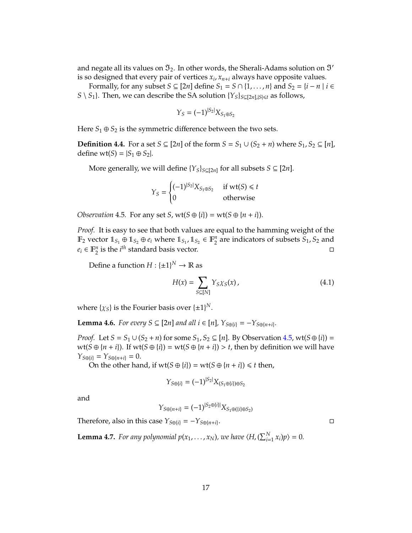and negate all its values on  $\mathfrak{I}_2$ . In other words, the Sherali-Adams solution on  $\mathfrak{I}'$ is so designed that every pair of vertices *x<sup>i</sup>* , *xn*+*<sup>i</sup>* always have opposite values.

Formally, for any subset *S* ⊆ [2*n*] define *S*<sub>1</sub> = *S* ∩ {1, . . . , *n*} and *S*<sub>2</sub> = {*i* − *n* | *i* ∈ *S* \ *S*<sub>1</sub>}. Then, we can describe the SA solution {*Y*<sub>*S*</sub>}<sub>*S*⊆[2*n*],|*S*| $\leq$ *t* as follows,</sub>

$$
Y_S = (-1)^{|S_2|} X_{S_1 \oplus S_2}
$$

Here  $S_1 \oplus S_2$  is the symmetric difference between the two sets.

**Definition 4.4.** For a set *S* ⊆ [2*n*] of the form *S* =  $S_1$  ∪ ( $S_2$  + *n*) where  $S_1$ ,  $S_2$  ⊆ [*n*], define wt(*S*) =  $|S_1 \oplus S_2|$ .

More generally, we will define  $\{Y_S\}_{S \subseteq [2n]}$  for all subsets  $S \subseteq [2n]$ .

$$
Y_S = \begin{cases} (-1)^{|S_2|} X_{S_1 \oplus S_2} & \text{if wt}(S) \le t \\ 0 & \text{otherwise} \end{cases}
$$

<span id="page-16-0"></span>*Observation* 4.5*.* For any set *S*,  $wt(S \oplus \{i\}) = wt(S \oplus \{n + i\})$ .

*Proof.* It is easy to see that both values are equal to the hamming weight of the  $\mathbb{F}_2$  vector  $\mathbb{1}_{S_1} \oplus \mathbb{1}_{S_2} \oplus e_i$  where  $\mathbb{1}_{S_1}$ ,  $\mathbb{1}_{S_2} \in \mathbb{F}_2^n$  $\frac{n}{2}$  are indicators of subsets  $S_1$ ,  $S_2$  and  $e_i \in \mathbb{F}_2^n$  $\frac{n}{2}$  is the *i*<sup>th</sup> standard basis vector.

Define a function  $H: \{\pm 1\}^N \to \mathbb{R}$  as

<span id="page-16-2"></span>
$$
H(x) = \sum_{S \subseteq [N]} Y_{S} \chi_{S}(x), \qquad (4.1)
$$

where  $\{\chi_S\}$  is the Fourier basis over  $\{\pm 1\}^N$ .

<span id="page-16-1"></span>**Lemma 4.6.** *For every S*  $\subseteq$  [2*n*] *and all i*  $\in$  [*n*]*,*  $Y_{S \oplus \{i\}} = -Y_{S \oplus \{n+i\}}$ .

*Proof.* Let  $S = S_1 \cup (S_2 + n)$  for some  $S_1, S_2 \subseteq [n]$ . By Observation [4.5,](#page-16-0) wt( $S \oplus \{i\}$ ) = wt( $S \oplus \{n + i\}$ ). If wt( $S \oplus \{i\}$ ) = wt( $S \oplus \{n + i\}$ ) > *t*, then by definition we will have  $Y_{S \oplus \{i\}} = Y_{S \oplus \{n+i\}} = 0.$ 

On the other hand, if  $wt(S \oplus \{i\}) = wt(S \oplus \{n + i\}) \leq t$  then,

$$
Y_{S \oplus \{i\}} = (-1)^{|S_2|} X_{(S_1 \oplus \{i\}) \oplus S_2}
$$

and

$$
Y_{S \oplus \{n+i\}} = (-1)^{|S_2 \oplus \{i\}|} X_{S_1 \oplus (\{i\} \oplus S_2)}
$$

Therefore, also in this case  $Y_{S \oplus \{i\}} = -Y_{S \oplus \{n+i\}}$ .

**Lemma 4.7.** *For any polynomial*  $p(x_1, \ldots, x_N)$ *, we have*  $\langle H, (\sum_{i=1}^N x_i)p \rangle = 0$ *.* 

. В последните последните се при последните се при последните се при последните се при последните се при после<br>В село в село в село в село в село в село в село в село в село в село в село в село в село в село в село в се<br>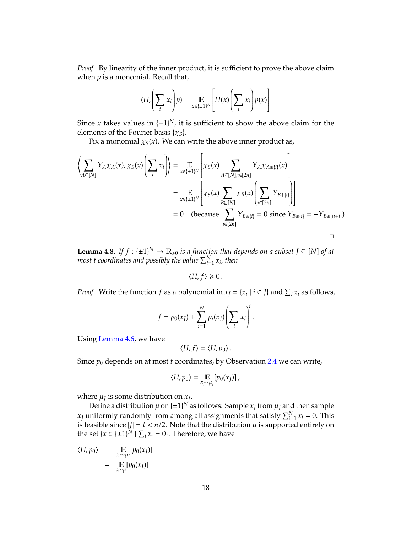*Proof.* By linearity of the inner product, it is sufficient to prove the above claim when *p* is a monomial. Recall that,

$$
\langle H, \left(\sum_{i} x_{i}\right) p \rangle = \mathop{\mathbb{E}}_{x \in \{\pm 1\}^{N}} \left[ H(x) \left(\sum_{i} x_{i}\right) p(x) \right]
$$

Since *x* takes values in  $\{\pm 1\}^N$ , it is sufficient to show the above claim for the elements of the Fourier basis  $\{x_s\}$ .

Fix a monomial  $\chi_S(x)$ . We can write the above inner product as,

$$
\left\langle \sum_{A \subseteq [N]} Y_{A} \chi_{A}(x), \chi_{S}(x) \left( \sum_{i} x_{i} \right) \right\rangle = \mathop{\mathbb{E}}_{x \in \{\pm 1\}^{N}} \left[ \chi_{S}(x) \sum_{A \subseteq [N], i \in [2n]} Y_{A} \chi_{A \oplus \{i\}}(x) \right]
$$
\n
$$
= \mathop{\mathbb{E}}_{x \in \{\pm 1\}^{N}} \left[ \chi_{S}(x) \sum_{B \subseteq [N]} \chi_{B}(x) \left( \sum_{i \in [2n]} Y_{B \oplus \{i\}} \right) \right]
$$
\n
$$
= 0 \quad \text{(because } \sum_{i \in [2n]} Y_{B \oplus \{i\}} = 0 \text{ since } Y_{B \oplus \{i\}} = -Y_{B \oplus \{n+i\}})
$$

<span id="page-17-0"></span>**Lemma 4.8.** *If*  $f : \{\pm 1\}^N \to \mathbb{R}_{\geqslant 0}$  *is a function that depends on a subset*  $J \subseteq [N]$  *of at* most  $t$  coordinates and possibly the value  $\sum_{i=1}^{N} x_i$ , then

 $\langle H, f \rangle \geq 0$ .

*Proof.* Write the function *f* as a polynomial in  $x_j = \{x_i \mid i \in J\}$  and  $\sum_i x_i$  as follows,

$$
f = p_0(x_J) + \sum_{i=1}^N p_i(x_J) \left(\sum_i x_i\right)^i.
$$

Using [Lemma 4.6,](#page-16-1) we have

$$
\langle H, f \rangle = \langle H, p_0 \rangle.
$$

Since  $p_0$  depends on at most *t* coordinates, by Observation [2.4](#page-8-0) we can write,

$$
\langle H, p_0 \rangle = \mathop{\mathbb{E}}_{x_J \sim \mu_J} [p_0(x_J)] \, ,
$$

where  $\mu$ *J* is some distribution on  $x$ *J*.

Define a distribution  $\mu$  on  $\{\pm 1\}^N$  as follows: Sample  $x_J$  from  $\mu_J$  and then sample  $x_J$  uniformly randomly from among all assignments that satisfy  $\sum_{i=1}^N x_i = 0$ . This is feasible since  $|J| = t < n/2$ . Note that the distribution  $\mu$  is supported entirely on the set  $\{x \in \{\pm 1\}^N \mid \sum_i x_i = 0\}$ . Therefore, we have

$$
\langle H, p_0 \rangle = \mathop{\mathbb{E}}_{x_J \sim \mu_J} [p_0(x_J)]
$$
  
= 
$$
\mathop{\mathbb{E}}_{x \sim \mu} [p_0(x_J)]
$$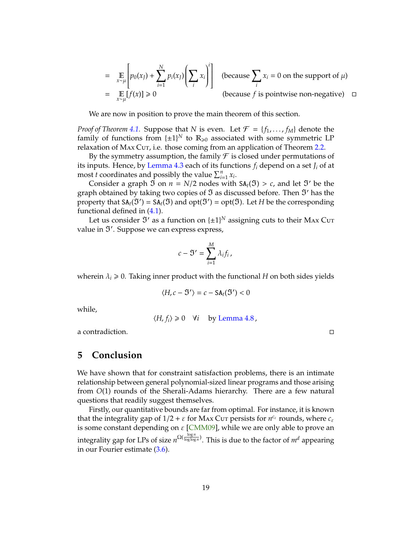<span id="page-18-0"></span>
$$
= \mathbb{E}_{x \sim \mu} \left[ p_0(x_J) + \sum_{i=1}^{N} p_i(x_I) \left( \sum_i x_i \right)^i \right]
$$
 (because  $\sum_i x_i = 0$  on the support of  $\mu$ )  
=  $\mathbb{E}_{x \sim \mu} [f(x)] \ge 0$  (because *f* is pointwise non-negative)  $\square$ 

We are now in position to prove the main theorem of this section.

*Proof of Theorem [4.1.](#page-15-1)* Suppose that *N* is even. Let  $\mathcal{F} = \{f_1, \ldots, f_M\}$  denote the family of functions from  $\{\pm 1\}^N$  to  $\mathbb{R}_{\geq 0}$  associated with some symmetric LP relaxation of MAX Cut, i.e. those coming from an application of Theorem [2.2.](#page-6-0)

By the symmetry assumption, the family  $\mathcal F$  is closed under permutations of its inputs. Hence, by [Lemma 4.3](#page-15-2) each of its functions *f<sup>i</sup>* depend on a set *J<sup>i</sup>* of at most *t* coordinates and possibly the value  $\sum_{i=1}^{n} x_i$ .

Consider a graph  $\Im$  on  $n = N/2$  nodes with  $SA_t(\Im) > c$ , and let  $\Im'$  be the graph obtained by taking two copies of  $\mathfrak I$  as discussed before. Then  $\mathfrak I'$  has the property that  $SA_t(\mathfrak{I}') = SA_t(\mathfrak{I})$  and  $opt(\mathfrak{I}') = opt(\mathfrak{I})$ . Let *H* be the corresponding functional defined in [\(4.1\)](#page-16-2).

Let us consider  $\mathfrak{I}'$  as a function on  $\{\pm 1\}^N$  assigning cuts to their Max Cut value in  $\mathfrak{I}'$ . Suppose we can express express,

$$
c-\mathfrak{I}'=\sum_{i=1}^M\lambda_if_i\,,
$$

wherein  $\lambda_i \geq 0$ . Taking inner product with the functional *H* on both sides yields

$$
\langle H, c - \mathfrak{I}' \rangle = c - \mathsf{SA}_t(\mathfrak{I}') < 0
$$

while,

$$
\langle H, f_i \rangle \geq 0 \quad \forall i \quad \text{by Lemma 4.8,}
$$

a contradiction.

**5 Conclusion**

We have shown that for constraint satisfaction problems, there is an intimate relationship between general polynomial-sized linear programs and those arising from *O*(1) rounds of the Sherali-Adams hierarchy. There are a few natural questions that readily suggest themselves.

Firstly, our quantitative bounds are far from optimal. For instance, it is known that the integrality gap of  $1/2 + \varepsilon$  for Max Cut persists for  $n^{c_{\varepsilon}}$  rounds, where  $c_{\varepsilon}$ is some constant depending on  $\varepsilon$  [\[CMM09\]](#page-19-5), while we are only able to prove an integrality gap for LPs of size  $n^{\Omega(\frac{\log n}{\log\log n})}$ . This is due to the factor of  $m^d$  appearing in our Fourier estimate [\(3.6\)](#page-13-0).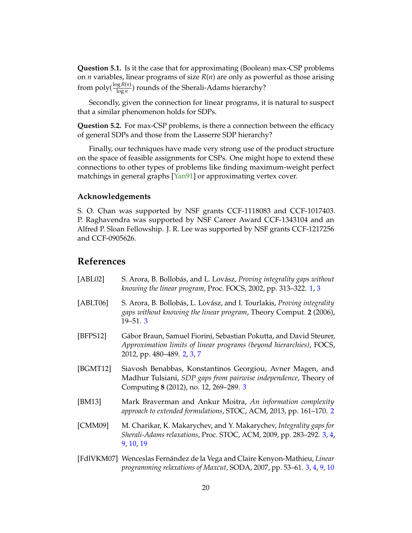<span id="page-19-7"></span>**Question 5.1.** Is it the case that for approximating (Boolean) max-CSP problems on *n* variables, linear programs of size *R*(*n*) are only as powerful as those arising from  $\operatorname{poly}(\frac{\log R(n)}{\log n})$  rounds of the Sherali-Adams hierarchy?

Secondly, given the connection for linear programs, it is natural to suspect that a similar phenomenon holds for SDPs.

**Question 5.2.** For max-CSP problems, is there a connection between the efficacy of general SDPs and those from the Lasserre SDP hierarchy?

Finally, our techniques have made very strong use of the product structure on the space of feasible assignments for CSPs. One might hope to extend these connections to other types of problems like finding maximum-weight perfect matchings in general graphs [\[Yan91\]](#page-20-4) or approximating vertex cover.

### **Acknowledgements**

S. O. Chan was supported by NSF grants CCF-1118083 and CCF-1017403. P. Raghavendra was supported by NSF Career Award CCF-1343104 and an Alfred P. Sloan Fellowship. J. R. Lee was supported by NSF grants CCF-1217256 and CCF-0905626.

# **References**

<span id="page-19-6"></span><span id="page-19-5"></span><span id="page-19-4"></span><span id="page-19-3"></span><span id="page-19-2"></span><span id="page-19-1"></span><span id="page-19-0"></span>

| [ABLO2]  | S. Arora, B. Bollobás, and L. Lovász, Proving integrality gaps without<br>knowing the linear program, Proc. FOCS, 2002, pp. 313-322. 1, 3                               |
|----------|-------------------------------------------------------------------------------------------------------------------------------------------------------------------------|
| [ABLT06] | S. Arora, B. Bollobás, L. Lovász, and I. Tourlakis, <i>Proving integrality</i><br>gaps without knowing the linear program, Theory Comput. 2 (2006),<br>$19 - 51.3$      |
| [BFPS12] | Gábor Braun, Samuel Fiorini, Sebastian Pokutta, and David Steurer,<br>Approximation limits of linear programs (beyond hierarchies), FOCS,<br>2012, pp. 480-489. 2, 3, 7 |
| [BGMT12] | Siavosh Benabbas, Konstantinos Georgiou, Avner Magen, and<br>Madhur Tulsiani, SDP gaps from pairwise independence, Theory of<br>Computing 8 (2012), no. 12, 269-289. 3  |
| [BM13]   | Mark Braverman and Ankur Moitra, An information complexity<br>approach to extended formulations, STOC, ACM, 2013, pp. 161-170. 2                                        |
| [CMM09]  | M. Charikar, K. Makarychev, and Y. Makarychev, Integrality gaps for<br>Sherali-Adams relaxations, Proc. STOC, ACM, 2009, pp. 283-292. 3, 4,<br>9, 10, 19                |
|          | [FdIVKM07] Wenceslas Fernández de la Vega and Claire Kenyon-Mathieu, Linear                                                                                             |